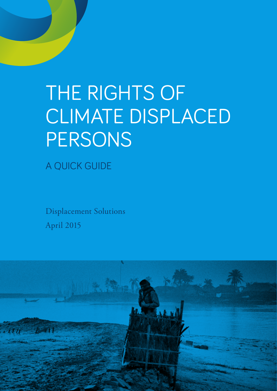# THE RIGHTS OF CLIMATE DISPLACED **PERSONS**

A QUICK GUIDE

Displacement Solutions April 2015

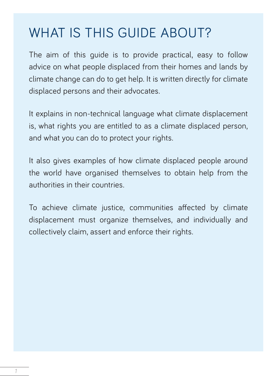### WHAT IS THIS GUIDE ABOUT?

The aim of this guide is to provide practical, easy to follow advice on what people displaced from their homes and lands by climate change can do to get help. It is written directly for climate displaced persons and their advocates.

It explains in non-technical language what climate displacement is, what rights you are entitled to as a climate displaced person, and what you can do to protect your rights.

It also gives examples of how climate displaced people around the world have organised themselves to obtain help from the authorities in their countries.

To achieve climate justice, communities affected by climate displacement must organize themselves, and individually and collectively claim, assert and enforce their rights.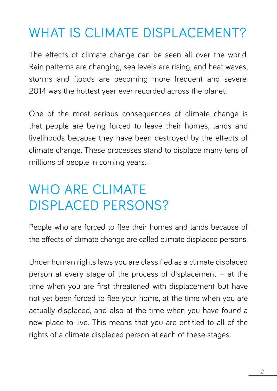### WHAT IS CLIMATE DISPLACEMENT?

The effects of climate change can be seen all over the world. Rain patterns are changing, sea levels are rising, and heat waves, storms and floods are becoming more frequent and severe. 2014 was the hottest year ever recorded across the planet.

One of the most serious consequences of climate change is that people are being forced to leave their homes, lands and livelihoods because they have been destroyed by the effects of climate change. These processes stand to displace many tens of millions of people in coming years.

### WHO ARE CLIMATE DISPLACED PERSONS?

People who are forced to flee their homes and lands because of the effects of climate change are called climate displaced persons.

Under human rights laws you are classified as a climate displaced person at every stage of the process of displacement – at the time when you are first threatened with displacement but have not yet been forced to flee your home, at the time when you are actually displaced, and also at the time when you have found a new place to live. This means that you are entitled to all of the rights of a climate displaced person at each of these stages.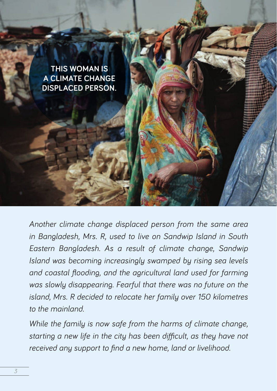

*Another climate change displaced person from the same area in Bangladesh, Mrs. R, used to live on Sandwip Island in South Eastern Bangladesh. As a result of climate change, Sandwip Island was becoming increasingly swamped by rising sea levels and coastal flooding, and the agricultural land used for farming was slowly disappearing. Fearful that there was no future on the island, Mrs. R decided to relocate her family over 150 kilometres to the mainland.* 

*While the family is now safe from the harms of climate change, starting a new life in the city has been difficult, as they have not received any support to find a new home, land or livelihood.*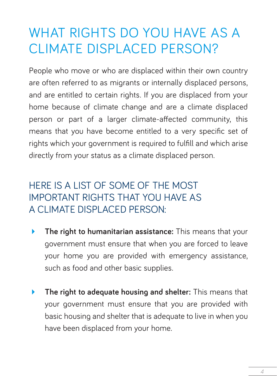### WHAT RIGHTS DO YOU HAVE AS A CLIMATE DISPLACED PERSON?

People who move or who are displaced within their own country are often referred to as migrants or internally displaced persons, and are entitled to certain rights. If you are displaced from your home because of climate change and are a climate displaced person or part of a larger climate-affected community, this means that you have become entitled to a very specific set of rights which your government is required to fulfill and which arise directly from your status as a climate displaced person.

#### HERE IS A LIST OF SOME OF THE MOST IMPORTANT RIGHTS THAT YOU HAVE AS A CLIMATE DISPLACED PERSON:

- **The right to humanitarian assistance:** This means that your government must ensure that when you are forced to leave your home you are provided with emergency assistance, such as food and other basic supplies.
- **The right to adequate housing and shelter:** This means that your government must ensure that you are provided with basic housing and shelter that is adequate to live in when you have been displaced from your home.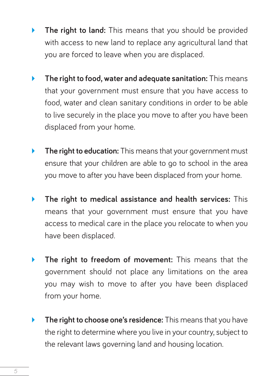- **The right to land:** This means that you should be provided with access to new land to replace any agricultural land that you are forced to leave when you are displaced.
- **The right to food, water and adequate sanitation:** This means that your government must ensure that you have access to food, water and clean sanitary conditions in order to be able to live securely in the place you move to after you have been displaced from your home.
- **The right to education:** This means that your government must ensure that your children are able to go to school in the area you move to after you have been displaced from your home.
- **The right to medical assistance and health services:** This means that your government must ensure that you have access to medical care in the place you relocate to when you have been displaced.
- **The right to freedom of movement:** This means that the government should not place any limitations on the area you may wish to move to after you have been displaced from your home.
- **The right to choose one's residence:** This means that you have the right to determine where you live in your country, subject to the relevant laws governing land and housing location.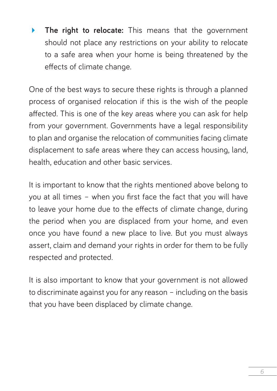**The right to relocate:** This means that the government should not place any restrictions on your ability to relocate to a safe area when your home is being threatened by the effects of climate change.

One of the best ways to secure these rights is through a planned process of organised relocation if this is the wish of the people affected. This is one of the key areas where you can ask for help from your government. Governments have a legal responsibility to plan and organise the relocation of communities facing climate displacement to safe areas where they can access housing, land, health, education and other basic services.

It is important to know that the rights mentioned above belong to you at all times – when you first face the fact that you will have to leave your home due to the effects of climate change, during the period when you are displaced from your home, and even once you have found a new place to live. But you must always assert, claim and demand your rights in order for them to be fully respected and protected.

It is also important to know that your government is not allowed to discriminate against you for any reason – including on the basis that you have been displaced by climate change.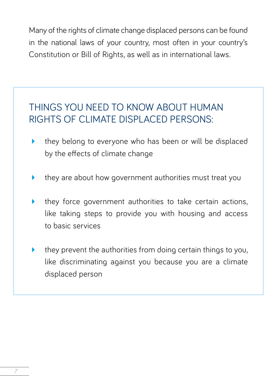Many of the rights of climate change displaced persons can be found in the national laws of your country, most often in your country's Constitution or Bill of Rights, as well as in international laws.

#### THINGS YOU NEED TO KNOW ABOUT HUMAN RIGHTS OF CLIMATE DISPLACED PERSONS:

- they belong to everyone who has been or will be displaced by the effects of climate change
- they are about how government authorities must treat you
- they force government authorities to take certain actions, like taking steps to provide you with housing and access to basic services
- they prevent the authorities from doing certain things to you, like discriminating against you because you are a climate displaced person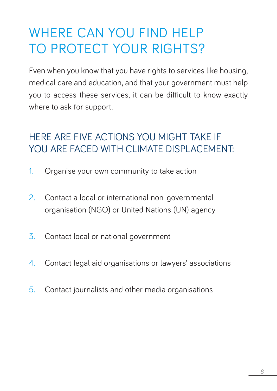### WHERE CAN YOU FIND HELP TO PROTECT YOUR RIGHTS?

Even when you know that you have rights to services like housing, medical care and education, and that your government must help you to access these services, it can be difficult to know exactly where to ask for support.

#### HERE ARE FIVE ACTIONS YOU MIGHT TAKE IF YOU ARE FACED WITH CLIMATE DISPLACEMENT

- 1. Organise your own community to take action
- 2. Contact a local or international non-governmental organisation (NGO) or United Nations (UN) agency
- 3. Contact local or national government
- 4. Contact legal aid organisations or lawyers' associations
- 5. Contact journalists and other media organisations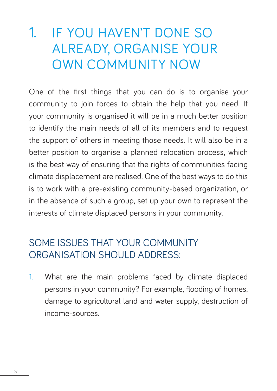### 1. IF YOU HAVEN'T DONE SO ALREADY, ORGANISE YOUR OWN COMMUNITY NOW

One of the first things that you can do is to organise your community to join forces to obtain the help that you need. If your community is organised it will be in a much better position to identify the main needs of all of its members and to request the support of others in meeting those needs. It will also be in a better position to organise a planned relocation process, which is the best way of ensuring that the rights of communities facing climate displacement are realised. One of the best ways to do this is to work with a pre-existing community-based organization, or in the absence of such a group, set up your own to represent the interests of climate displaced persons in your community.

#### SOME ISSUES THAT YOUR COMMUNITY ORGANISATION SHOULD ADDRESS:

1. What are the main problems faced by climate displaced persons in your community? For example, flooding of homes, damage to agricultural land and water supply, destruction of income-sources.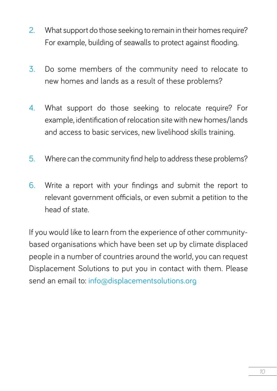- 2. What support do those seeking to remain in their homes require? For example, building of seawalls to protect against flooding.
- 3. Do some members of the community need to relocate to new homes and lands as a result of these problems?
- 4. What support do those seeking to relocate require? For example, identification of relocation site with new homes/lands and access to basic services, new livelihood skills training.
- 5. Where can the community find help to address these problems?
- 6. Write a report with your findings and submit the report to relevant government officials, or even submit a petition to the head of state.

If you would like to learn from the experience of other communitybased organisations which have been set up by climate displaced people in a number of countries around the world, you can request Displacement Solutions to put you in contact with them. Please send an email to: info@displacementsolutions.org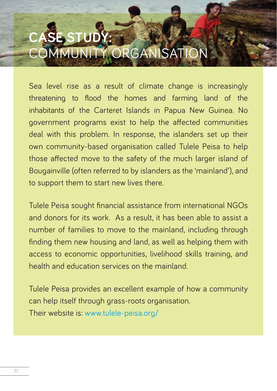## **SE STUD MUNITY ORGAN**

Sea level rise as a result of climate change is increasingly threatening to flood the homes and farming land of the inhabitants of the Carteret Islands in Papua New Guinea. No government programs exist to help the affected communities deal with this problem. In response, the islanders set up their own community-based organisation called Tulele Peisa to help those affected move to the safety of the much larger island of Bougainville (often referred to by islanders as the 'mainland'), and to support them to start new lives there.

Tulele Peisa sought financial assistance from international NGOs and donors for its work. As a result, it has been able to assist a number of families to move to the mainland, including through finding them new housing and land, as well as helping them with access to economic opportunities, livelihood skills training, and health and education services on the mainland.

Tulele Peisa provides an excellent example of how a community can help itself through grass-roots organisation. Their website is: www.tulele-peisa.org/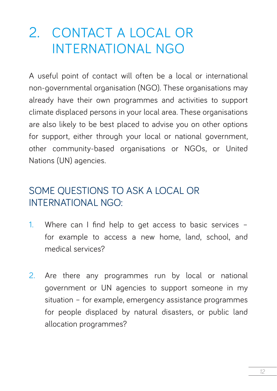### 2. CONTACT A LOCAL OR INTERNATIONAL NGO

A useful point of contact will often be a local or international non-governmental organisation (NGO). These organisations may already have their own programmes and activities to support climate displaced persons in your local area. These organisations are also likely to be best placed to advise you on other options for support, either through your local or national government, other community-based organisations or NGOs, or United Nations (UN) agencies.

#### SOME QUESTIONS TO ASK A LOCAL OR INTERNATIONAL NGO:

- 1. Where can I find help to get access to basic services for example to access a new home, land, school, and medical services?
- 2. Are there any programmes run by local or national government or UN agencies to support someone in my situation – for example, emergency assistance programmes for people displaced by natural disasters, or public land allocation programmes?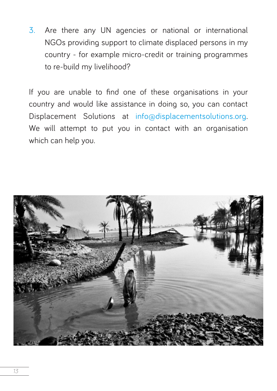3. Are there any UN agencies or national or international NGOs providing support to climate displaced persons in my country - for example micro-credit or training programmes to re-build my livelihood?

If you are unable to find one of these organisations in your country and would like assistance in doing so, you can contact Displacement Solutions at info@displacementsolutions.org. We will attempt to put you in contact with an organisation which can help you.

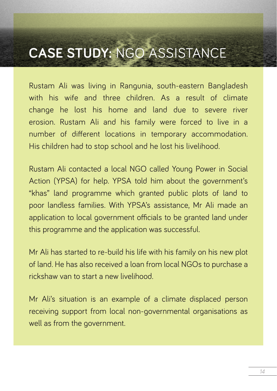### **CASE STUDY:** NGO ASSISTANCE

Rustam Ali was living in Rangunia, south-eastern Bangladesh with his wife and three children. As a result of climate change he lost his home and land due to severe river erosion. Rustam Ali and his family were forced to live in a number of different locations in temporary accommodation. His children had to stop school and he lost his livelihood.

Rustam Ali contacted a local NGO called Young Power in Social Action (YPSA) for help. YPSA told him about the government's "khas" land programme which granted public plots of land to poor landless families. With YPSA's assistance, Mr Ali made an application to local government officials to be granted land under this programme and the application was successful.

Mr Ali has started to re-build his life with his family on his new plot of land. He has also received a loan from local NGOs to purchase a rickshaw van to start a new livelihood.

Mr Ali's situation is an example of a climate displaced person receiving support from local non-governmental organisations as well as from the government.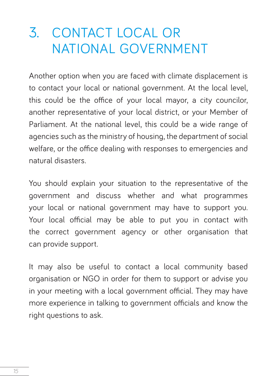### 3. CONTACT LOCAL OR NATIONAL GOVERNMENT

Another option when you are faced with climate displacement is to contact your local or national government. At the local level, this could be the office of your local mayor, a city councilor, another representative of your local district, or your Member of Parliament. At the national level, this could be a wide range of agencies such as the ministry of housing, the department of social welfare, or the office dealing with responses to emergencies and natural disasters.

You should explain your situation to the representative of the government and discuss whether and what programmes your local or national government may have to support you. Your local official may be able to put you in contact with the correct government agency or other organisation that can provide support.

It may also be useful to contact a local community based organisation or NGO in order for them to support or advise you in your meeting with a local government official. They may have more experience in talking to government officials and know the right questions to ask.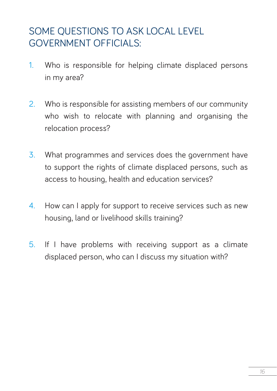#### SOME OUESTIONS TO ASK LOCAL LEVEL GOVERNMENT OFFICIALS:

- 1. Who is responsible for helping climate displaced persons in my area?
- 2. Who is responsible for assisting members of our community who wish to relocate with planning and organising the relocation process?
- 3. What programmes and services does the government have to support the rights of climate displaced persons, such as access to housing, health and education services?
- 4. How can I apply for support to receive services such as new housing, land or livelihood skills training?
- 5. If I have problems with receiving support as a climate displaced person, who can I discuss my situation with?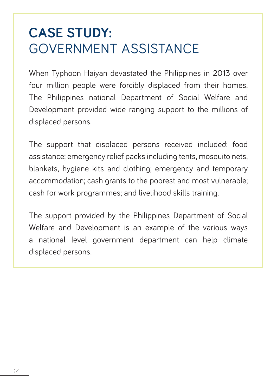### **CASE STUDY:**  GOVERNMENT ASSISTANCE

When Typhoon Haiyan devastated the Philippines in 2013 over four million people were forcibly displaced from their homes. The Philippines national Department of Social Welfare and Development provided wide-ranging support to the millions of displaced persons.

The support that displaced persons received included: food assistance; emergency relief packs including tents, mosquito nets, blankets, hygiene kits and clothing; emergency and temporary accommodation; cash grants to the poorest and most vulnerable; cash for work programmes; and livelihood skills training.

The support provided by the Philippines Department of Social Welfare and Development is an example of the various ways a national level government department can help climate displaced persons.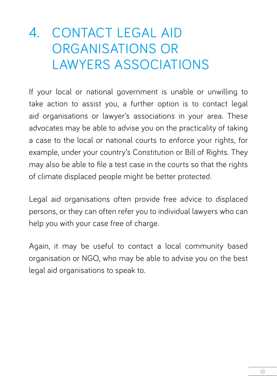### 4. CONTACT LEGAL AID ORGANISATIONS OR LAWYERS ASSOCIATIONS

If your local or national government is unable or unwilling to take action to assist you, a further option is to contact legal aid organisations or lawyer's associations in your area. These advocates may be able to advise you on the practicality of taking a case to the local or national courts to enforce your rights, for example, under your country's Constitution or Bill of Rights. They may also be able to file a test case in the courts so that the rights of climate displaced people might be better protected.

Legal aid organisations often provide free advice to displaced persons, or they can often refer you to individual lawyers who can help you with your case free of charge.

Again, it may be useful to contact a local community based organisation or NGO, who may be able to advise you on the best legal aid organisations to speak to.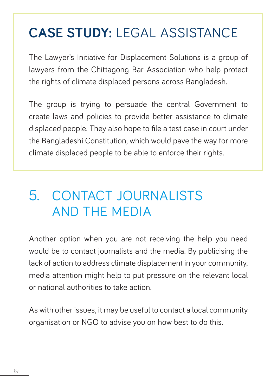### **CASE STUDY:** LEGAL ASSISTANCE

The Lawyer's Initiative for Displacement Solutions is a group of lawyers from the Chittagong Bar Association who help protect the rights of climate displaced persons across Bangladesh.

The group is trying to persuade the central Government to create laws and policies to provide better assistance to climate displaced people. They also hope to file a test case in court under the Bangladeshi Constitution, which would pave the way for more climate displaced people to be able to enforce their rights.

### 5. CONTACT JOURNALISTS AND THE MEDIA

Another option when you are not receiving the help you need would be to contact journalists and the media. By publicising the lack of action to address climate displacement in your community, media attention might help to put pressure on the relevant local or national authorities to take action.

As with other issues, it may be useful to contact a local community organisation or NGO to advise you on how best to do this.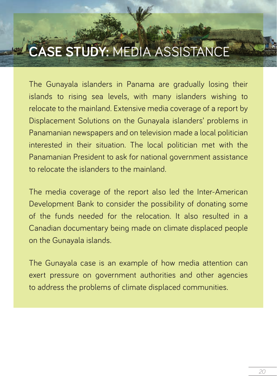### **CASE STUDY:** MEDIA ASSISTANCE

The Gunayala islanders in Panama are gradually losing their islands to rising sea levels, with many islanders wishing to relocate to the mainland. Extensive media coverage of a report by Displacement Solutions on the Gunayala islanders' problems in Panamanian newspapers and on television made a local politician interested in their situation. The local politician met with the Panamanian President to ask for national government assistance to relocate the islanders to the mainland.

The media coverage of the report also led the Inter-American Development Bank to consider the possibility of donating some of the funds needed for the relocation. It also resulted in a Canadian documentary being made on climate displaced people on the Gunayala islands.

The Gunayala case is an example of how media attention can exert pressure on government authorities and other agencies to address the problems of climate displaced communities.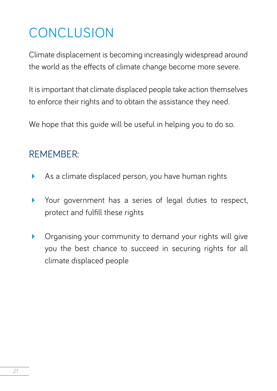### **CONCLUSION**

Climate displacement is becoming increasingly widespread around the world as the effects of climate change become more severe.

It is important that climate displaced people take action themselves to enforce their rights and to obtain the assistance they need.

We hope that this quide will be useful in helping you to do so.

#### REMEMBER:

- As a climate displaced person, you have human rights
- Your government has a series of legal duties to respect, protect and fulfill these rights
- **•** Organising your community to demand your rights will give you the best chance to succeed in securing rights for all climate displaced people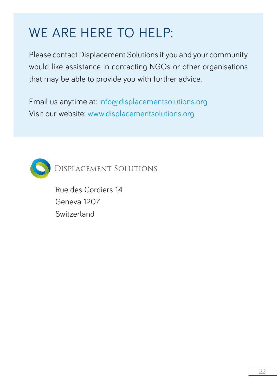### WE ARE HERE TO HELP:

Please contact Displacement Solutions if you and your community would like assistance in contacting NGOs or other organisations that may be able to provide you with further advice.

Email us anytime at: info@displacementsolutions.org Visit our website: www.displacementsolutions.org



**DISPLACEMENT SOLUTIONS** 

Rue des Cordiers 14 Geneva 1207 Switzerland